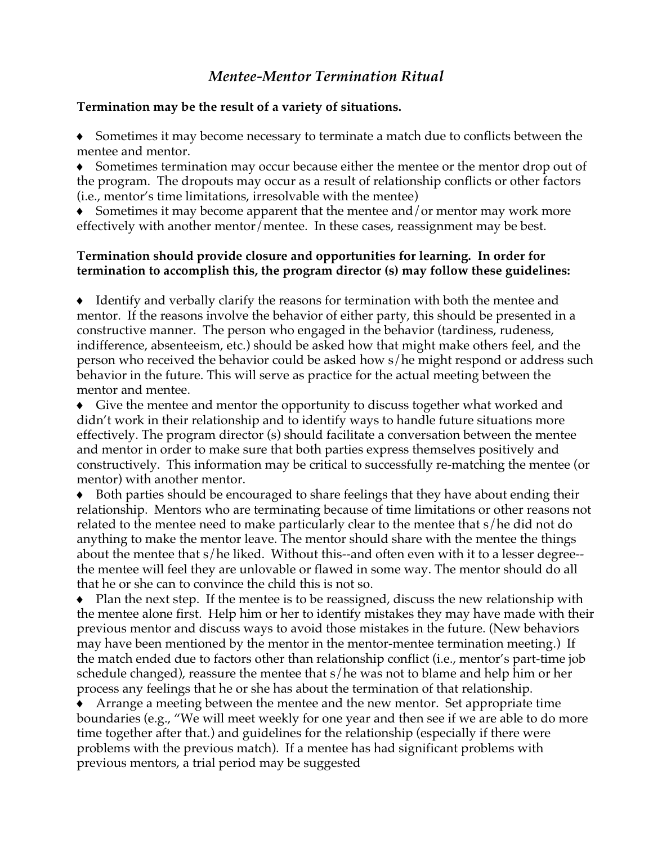# *Mentee-Mentor Termination Ritual*

### **Termination may be the result of a variety of situations.**

Sometimes it may become necessary to terminate a match due to conflicts between the mentee and mentor.

Sometimes termination may occur because either the mentee or the mentor drop out of the program. The dropouts may occur as a result of relationship conflicts or other factors (i.e., mentor's time limitations, irresolvable with the mentee)

Sometimes it may become apparent that the mentee and/or mentor may work more effectively with another mentor/mentee. In these cases, reassignment may be best.

## **Termination should provide closure and opportunities for learning. In order for termination to accomplish this, the program director (s) may follow these guidelines:**

♦ Identify and verbally clarify the reasons for termination with both the mentee and mentor. If the reasons involve the behavior of either party, this should be presented in a constructive manner. The person who engaged in the behavior (tardiness, rudeness, indifference, absenteeism, etc.) should be asked how that might make others feel, and the person who received the behavior could be asked how s/he might respond or address such behavior in the future. This will serve as practice for the actual meeting between the mentor and mentee.

♦ Give the mentee and mentor the opportunity to discuss together what worked and didn't work in their relationship and to identify ways to handle future situations more effectively. The program director (s) should facilitate a conversation between the mentee and mentor in order to make sure that both parties express themselves positively and constructively. This information may be critical to successfully re-matching the mentee (or mentor) with another mentor.

Both parties should be encouraged to share feelings that they have about ending their relationship. Mentors who are terminating because of time limitations or other reasons not related to the mentee need to make particularly clear to the mentee that s/he did not do anything to make the mentor leave. The mentor should share with the mentee the things about the mentee that s/he liked. Without this--and often even with it to a lesser degree- the mentee will feel they are unlovable or flawed in some way. The mentor should do all that he or she can to convince the child this is not so.

♦ Plan the next step. If the mentee is to be reassigned, discuss the new relationship with the mentee alone first. Help him or her to identify mistakes they may have made with their previous mentor and discuss ways to avoid those mistakes in the future. (New behaviors may have been mentioned by the mentor in the mentor-mentee termination meeting.) If the match ended due to factors other than relationship conflict (i.e., mentor's part-time job schedule changed), reassure the mentee that s/he was not to blame and help him or her process any feelings that he or she has about the termination of that relationship.

Arrange a meeting between the mentee and the new mentor. Set appropriate time boundaries (e.g., "We will meet weekly for one year and then see if we are able to do more time together after that.) and guidelines for the relationship (especially if there were problems with the previous match). If a mentee has had significant problems with previous mentors, a trial period may be suggested